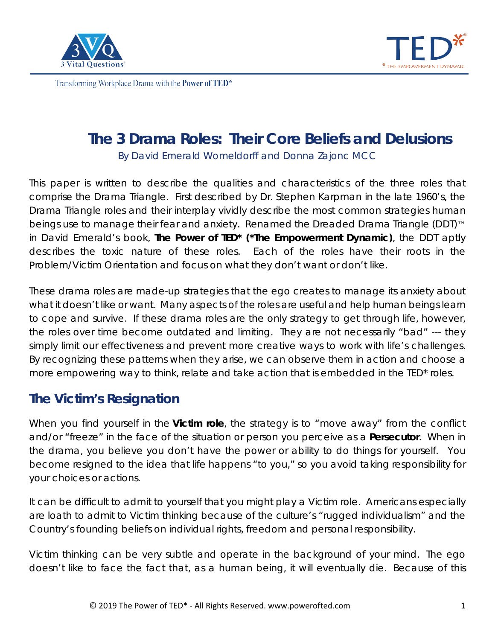



# **The 3 Drama Roles: Their Core Beliefs and Delusions**

By David Emerald Womeldorff and Donna Zajonc MCC

This paper is written to describe the qualities and characteristics of the three roles that comprise the Drama Triangle. First described by Dr. Stephen Karpman in the late 1960's, the Drama Triangle roles and their interplay vividly describe the most common strategies human beings use to manage their fear and anxiety. Renamed the Dreaded Drama Triangle (DDT)<sup>™</sup> in David Emerald's book, *The Power of TED\* (\*The Empowerment Dynamic)*, the DDT aptly describes the toxic nature of these roles. Each of the roles have their roots in the Problem/Victim Orientation and focus on what they don't want or don't like.

These drama roles are made-up strategies that the ego creates to manage its anxiety about what it doesn't like or want. Many aspects of the roles are useful and help human beings learn to cope and survive. If these drama roles are the only strategy to get through life, however, the roles over time become outdated and limiting. They are not necessarily "bad" --- they simply limit our effectiveness and prevent more creative ways to work with life's challenges. By recognizing these patterns when they arise, we can observe them in action and choose a more empowering way to think, relate and take action that is embedded in the TED\* roles.

## **The Victim's Resignation**

When you find yourself in the **Victim role**, the strategy is to "move away" from the conflict and/or "freeze" in the face of the situation or person you perceive as a **Persecutor**. When in the drama, you believe you don't have the power or ability to do things for yourself. You become resigned to the idea that life happens "to you," so you avoid taking responsibility for your choices or actions.

It can be difficult to admit to yourself that you might play a Victim role. Americans especially are loath to admit to Victim thinking because of the culture's "rugged individualism" and the Country's founding beliefs on individual rights, freedom and personal responsibility.

Victim thinking can be very subtle and operate in the background of your mind. The ego doesn't like to face the fact that, as a human being, it will eventually die. Because of this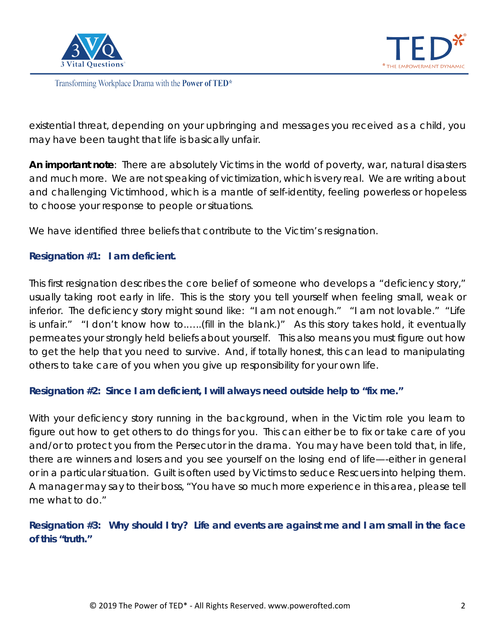



existential threat, depending on your upbringing and messages you received as a child, you may have been taught that life is basically unfair.

**An important note**: There are absolutely Victims in the world of poverty, war, natural disasters and much more. We are not speaking of victimization, which is very real. We are writing about and challenging Victimhood, which is a mantle of self-identity, feeling powerless or hopeless to choose your response to people or situations.

We have identified three beliefs that contribute to the Victim's resignation.

#### **Resignation #1: I am deficient.**

This first resignation describes the core belief of someone who develops a "deficiency story," usually taking root early in life. This is the story you tell yourself when feeling small, weak or inferior. The deficiency story might sound like: "I am not enough." "I am not lovable." "Life is unfair." "I don't know how to.…..(fill in the blank.)" As this story takes hold, it eventually permeates your strongly held beliefs about yourself. This also means you must figure out how to get the help that you need to survive. And, if totally honest, this can lead to manipulating others to take care of you when you give up responsibility for your own life.

**Resignation #2: Since I am deficient, I will always need outside help to "fix me."**

With your deficiency story running in the background, when in the Victim role you learn to figure out how to get others to do things for you. This can either be to fix or take care of you and/or to protect you from the Persecutor in the drama. You may have been told that, in life, there are winners and losers and you see yourself on the losing end of life—-either in general or in a particular situation. Guilt is often used by Victims to seduce Rescuers into helping them. A manager may say to their boss, "You have so much more experience in this area, please tell me what to do."

### **Resignation #3: Why should I try? Life and events are against me and I am small in the face of this "truth."**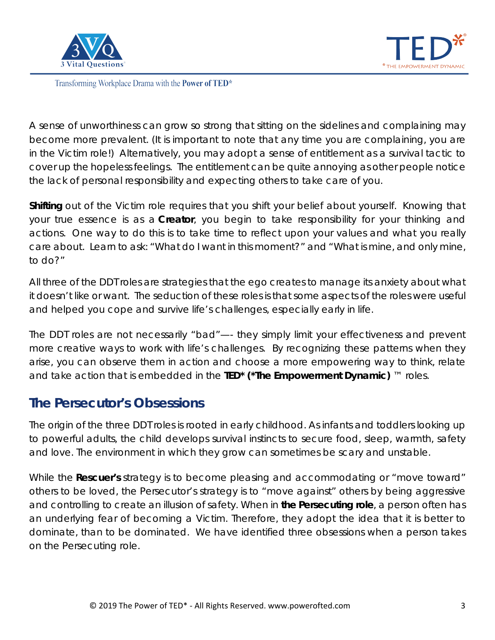



A sense of unworthiness can grow so strong that sitting on the sidelines and complaining may become more prevalent. (It is important to note that any time you are complaining, you are in the Victim role!) Alternatively, you may adopt a sense of entitlement as a survival tactic to cover up the hopeless feelings. The entitlement can be quite annoying as other people notice the lack of personal responsibility and expecting others to take care of you.

**Shifting** out of the Victim role requires that you shift your belief about yourself. Knowing that your true essence is as a **[Creator](http://powerofted.com/creator/)**, you begin to take responsibility for your thinking and actions. One way to do this is to take time to reflect upon your values and what you really care about. Learn to ask: "What do I want in this moment?" and "What is mine, and only mine, to do?"

All three of the DDT roles are strategies that the ego creates to manage its anxiety about what it doesn't like or want. The seduction of these roles is that some aspects of the roles were useful and helped you cope and survive life's challenges, especially early in life.

The DDT roles are not necessarily "bad"—- they simply limit your effectiveness and prevent more creative ways to work with life's challenges. By recognizing these patterns when they arise, you can observe them in action and choose a more empowering way to think, relate and take action that is embedded in the **TED\* (\*The Empowerment Dynamic)** ™ roles.

## **The Persecutor's Obsessions**

The origin of the three DDT roles is rooted in early childhood. As infants and toddlers looking up to powerful adults, the child develops survival instincts to secure food, sleep, warmth, safety and love. The environment in which they grow can sometimes be scary and unstable.

While the **Rescuer's** strategy is to become pleasing and accommodating or "move toward" others to be loved, the Persecutor's strategy is to "move against" others by being aggressive and controlling to create an illusion of safety. When in **the Persecuting role**, a person often has an underlying fear of becoming a Victim. Therefore, they adopt the idea that it is better to dominate, than to be dominated. We have identified three obsessions when a person takes on the Persecuting role.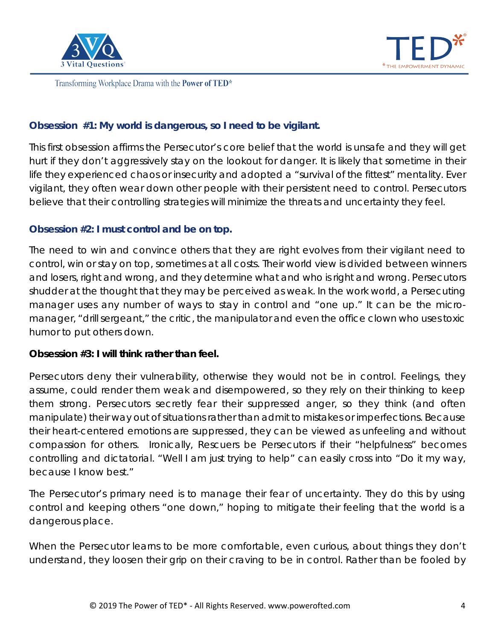



#### **Obsession #1: My world is dangerous, so I need to be vigilant.**

This first obsession affirms the Persecutor's core belief that the world is unsafe and they will get hurt if they don't aggressively stay on the lookout for danger. It is likely that sometime in their life they experienced chaos or insecurity and adopted a "survival of the fittest" mentality. Ever vigilant, they often wear down other people with their persistent need to control. Persecutors believe that their controlling strategies will minimize the threats and uncertainty they feel.

#### **Obsession #2: I must control and be on top.**

The need to win and convince others that they are right evolves from their vigilant need to control, win or stay on top, sometimes at all costs. Their world view is divided between winners and losers, right and wrong, and they determine what and who is right and wrong. Persecutors shudder at the thought that they may be perceived as weak. In the work world, a Persecuting manager uses any number of ways to stay in control and "one up." It can be the micromanager, "drill sergeant," the critic, the manipulator and even the office clown who uses toxic humor to put others down.

#### **Obsession #3: I will think rather than feel.**

Persecutors deny their vulnerability, otherwise they would not be in control. Feelings, they assume, could render them weak and disempowered, so they rely on their thinking to keep them strong. Persecutors secretly fear their suppressed anger, so they think (and often manipulate) their way out of situations rather than admit to mistakes or imperfections. Because their heart-centered emotions are suppressed, they can be viewed as unfeeling and without compassion for others. Ironically, Rescuers be Persecutors if their "helpfulness" becomes controlling and dictatorial. "Well I am just trying to help" can easily cross into "Do it my way, because I know best."

The Persecutor's primary need is to manage their fear of uncertainty. They do this by using control and keeping others "one down," hoping to mitigate their feeling that the world is a dangerous place.

When the Persecutor learns to be more comfortable, even curious, about things they don't understand, they loosen their grip on their craving to be in control. Rather than be fooled by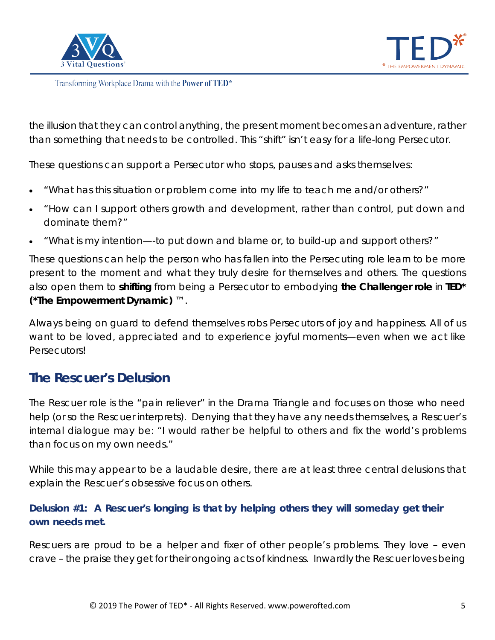



the illusion that they can control anything, the present moment becomes an adventure, rather than something that needs to be controlled. This "shift" isn't easy for a life-long Persecutor.

These questions can support a Persecutor who stops, pauses and asks themselves:

- "What has this situation or problem come into my life to teach me and/or others?"
- "How can I support others growth and development, rather than control, put down and dominate them?"
- "What is my intention—-to put down and blame or, to build-up and support others?"

These questions can help the person who has fallen into the Persecuting role learn to be more present to the moment and what they truly desire for themselves and others. The questions also open them to **shifting** from being a Persecutor to embodying **the Challenger role** in **TED\* (\*The Empowerment Dynamic)** ™.

Always being on guard to defend themselves robs Persecutors of joy and happiness. All of us want to be loved, appreciated and to experience joyful moments—even when we act like Persecutors!

## **The Rescuer's Delusion**

The Rescuer role is the "pain reliever" in the Drama Triangle and focuses on those who need help (or so the Rescuer interprets). Denying that they have any needs themselves, a Rescuer's internal dialogue may be: "I would rather be helpful to others and fix the world's problems than focus on my own needs."

While this may appear to be a laudable desire, there are at least three central delusions that explain the Rescuer's obsessive focus on others.

## **Delusion #1: A Rescuer's longing is that by helping others they will someday get their own needs met.**

Rescuers are proud to be a helper and fixer of other people's problems. They love – even crave – the praise they get for their ongoing acts of kindness. Inwardly the Rescuer loves being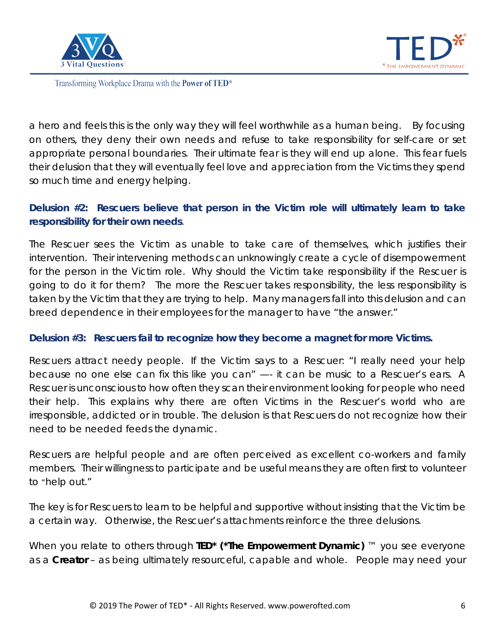



a hero and feels this is the only way they will feel worthwhile as a human being. By focusing on others, they deny their own needs and refuse to take responsibility for self-care or set appropriate personal boundaries. Their ultimate fear is they will end up alone. This fear fuels their delusion that they will eventually feel love and appreciation from the Victims they spend so much time and energy helping.

### **Delusion #2: Rescuers believe that person in the Victim role will ultimately learn to take responsibility for their own needs**.

The Rescuer sees the Victim as unable to take care of themselves, which justifies their intervention. Their intervening methods can unknowingly create a cycle of disempowerment for the person in the Victim role. Why should the Victim take responsibility if the Rescuer is going to do it for them? The more the Rescuer takes responsibility, the less responsibility is taken by the Victim that they are trying to help. Many managers fall into this delusion and can breed dependence in their employees for the manager to have "the answer."

#### **Delusion #3: Rescuers fail to recognize how they become a magnet for more Victims.**

Rescuers attract needy people. If the Victim says to a Rescuer: "I really need your help because no one else can fix this like you can" —- it can be music to a Rescuer's ears. A Rescuer is unconscious to how often they scan their environment looking for people who need their help. This explains why there are often Victims in the Rescuer's world who are irresponsible, addicted or in trouble. The delusion is that Rescuers do not recognize how their need to be needed feeds the dynamic.

Rescuers are helpful people and are often perceived as excellent co-workers and family members. Their willingness to participate and be useful means they are often first to volunteer to "help out."

The key is for Rescuers to learn to be helpful and supportive without insisting that the Victim be a certain way. Otherwise, the Rescuer's attachments reinforce the three delusions.

When you relate to others through **TED\* (\*The Empowerment Dynamic)** ™ you see everyone as a **Creator** – as being ultimately resourceful, capable and whole. People may need your